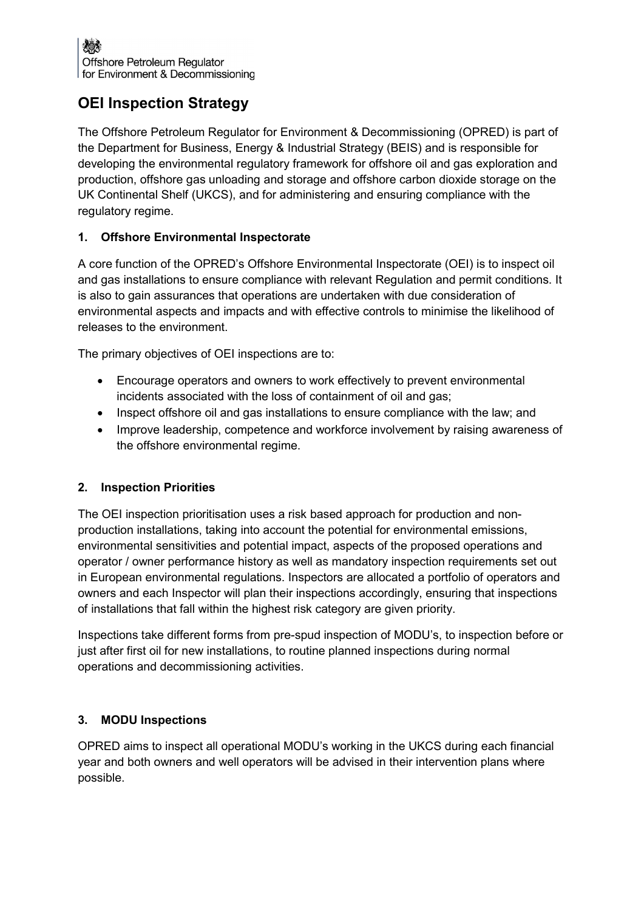# OEI Inspection Strategy

The Offshore Petroleum Regulator for Environment & Decommissioning (OPRED) is part of the Department for Business, Energy & Industrial Strategy (BEIS) and is responsible for developing the environmental regulatory framework for offshore oil and gas exploration and production, offshore gas unloading and storage and offshore carbon dioxide storage on the UK Continental Shelf (UKCS), and for administering and ensuring compliance with the regulatory regime.

# 1. Offshore Environmental Inspectorate

A core function of the OPRED's Offshore Environmental Inspectorate (OEI) is to inspect oil and gas installations to ensure compliance with relevant Regulation and permit conditions. It is also to gain assurances that operations are undertaken with due consideration of environmental aspects and impacts and with effective controls to minimise the likelihood of releases to the environment.

The primary objectives of OEI inspections are to:

- Encourage operators and owners to work effectively to prevent environmental incidents associated with the loss of containment of oil and gas;
- Inspect offshore oil and gas installations to ensure compliance with the law; and
- Improve leadership, competence and workforce involvement by raising awareness of the offshore environmental regime.

## 2. Inspection Priorities

The OEI inspection prioritisation uses a risk based approach for production and nonproduction installations, taking into account the potential for environmental emissions, environmental sensitivities and potential impact, aspects of the proposed operations and operator / owner performance history as well as mandatory inspection requirements set out in European environmental regulations. Inspectors are allocated a portfolio of operators and owners and each Inspector will plan their inspections accordingly, ensuring that inspections of installations that fall within the highest risk category are given priority.

Inspections take different forms from pre-spud inspection of MODU's, to inspection before or just after first oil for new installations, to routine planned inspections during normal operations and decommissioning activities.

## 3. MODU Inspections

OPRED aims to inspect all operational MODU's working in the UKCS during each financial year and both owners and well operators will be advised in their intervention plans where possible.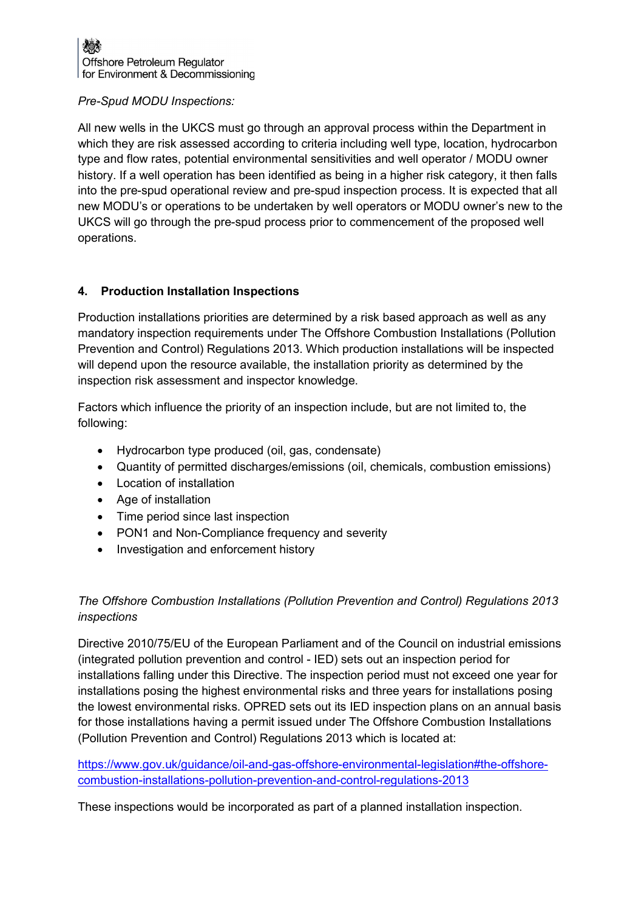#### Pre-Spud MODU Inspections:

All new wells in the UKCS must go through an approval process within the Department in which they are risk assessed according to criteria including well type, location, hydrocarbon type and flow rates, potential environmental sensitivities and well operator / MODU owner history. If a well operation has been identified as being in a higher risk category, it then falls into the pre-spud operational review and pre-spud inspection process. It is expected that all new MODU's or operations to be undertaken by well operators or MODU owner's new to the UKCS will go through the pre-spud process prior to commencement of the proposed well operations.

## 4. Production Installation Inspections

Production installations priorities are determined by a risk based approach as well as any mandatory inspection requirements under The Offshore Combustion Installations (Pollution Prevention and Control) Regulations 2013. Which production installations will be inspected will depend upon the resource available, the installation priority as determined by the inspection risk assessment and inspector knowledge.

Factors which influence the priority of an inspection include, but are not limited to, the following:

- Hydrocarbon type produced (oil, gas, condensate)
- Quantity of permitted discharges/emissions (oil, chemicals, combustion emissions)
- Location of installation
- Age of installation
- Time period since last inspection
- PON1 and Non-Compliance frequency and severity
- Investigation and enforcement history

# The Offshore Combustion Installations (Pollution Prevention and Control) Regulations 2013 inspections

Directive 2010/75/EU of the European Parliament and of the Council on industrial emissions (integrated pollution prevention and control - IED) sets out an inspection period for installations falling under this Directive. The inspection period must not exceed one year for installations posing the highest environmental risks and three years for installations posing the lowest environmental risks. OPRED sets out its IED inspection plans on an annual basis for those installations having a permit issued under The Offshore Combustion Installations (Pollution Prevention and Control) Regulations 2013 which is located at:

https://www.gov.uk/guidance/oil-and-gas-offshore-environmental-legislation#the-offshorecombustion-installations-pollution-prevention-and-control-regulations-2013

These inspections would be incorporated as part of a planned installation inspection.